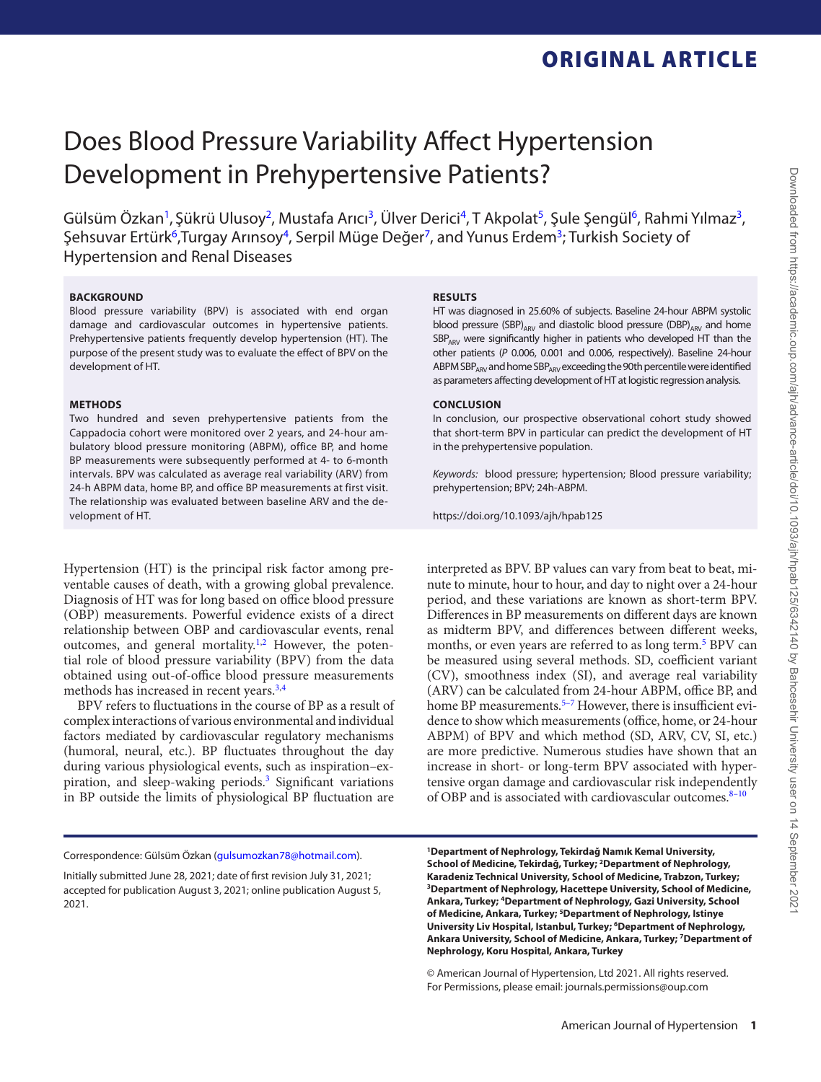ORIGINAL ARTICLE

# Does Blood Pressure Variability Affect Hypertension Development in Prehypertensive Patients?

Gülsüm Özkan<sup>1</sup>, Şükrü Ulusoy<sup>2</sup>, Mustafa Arıcı<sup>3</sup>, Ülver Derici<sup>4</sup>, T Akpolat<sup>5</sup>, Şule Şengül<sup>6</sup>, Rahmi Yılmaz<sup>3</sup>, Sehsuvar Ertürk<sup>6</sup>, Turgay Arınsoy<sup>4</sup>, Serpil Müge Değer<sup>7</sup>, and Yunus Erdem<sup>3</sup>; Turkish Society of Hypertension and Renal Diseases

### **BACKGROUND**

Blood pressure variability (BPV) is associated with end organ damage and cardiovascular outcomes in hypertensive patients. Prehypertensive patients frequently develop hypertension (HT). The purpose of the present study was to evaluate the effect of BPV on the development of HT.

### **METHODS**

Two hundred and seven prehypertensive patients from the Cappadocia cohort were monitored over 2 years, and 24-hour ambulatory blood pressure monitoring (ABPM), office BP, and home BP measurements were subsequently performed at 4- to 6-month intervals. BPV was calculated as average real variability (ARV) from 24-h ABPM data, home BP, and office BP measurements at first visit. The relationship was evaluated between baseline ARV and the development of HT.

Hypertension (HT) is the principal risk factor among preventable causes of death, with a growing global prevalence. Diagnosis of HT was for long based on office blood pressure (OBP) measurements. Powerful evidence exists of a direct relationship between OBP and cardiovascular events, renal outcomes, and general mortality.<sup>1,[2](#page-4-1)</sup> However, the potential role of blood pressure variability (BPV) from the data obtained using out-of-office blood pressure measurements methods has increased in recent years[.3](#page-4-2),[4](#page-4-3)

BPV refers to fluctuations in the course of BP as a result of complex interactions of various environmental and individual factors mediated by cardiovascular regulatory mechanisms (humoral, neural, etc.). BP fluctuates throughout the day during various physiological events, such as inspiration–expiration, and sleep-waking periods.<sup>3</sup> Significant variations in BP outside the limits of physiological BP fluctuation are

#### **RESULTS**

HT was diagnosed in 25.60% of subjects. Baseline 24-hour ABPM systolic blood pressure (SBP)<sub>ARV</sub> and diastolic blood pressure (DBP)<sub>ARV</sub> and home  $SBP<sub>ARY</sub>$  were significantly higher in patients who developed HT than the other patients (*P* 0.006, 0.001 and 0.006, respectively). Baseline 24-hour ABPM SBP<sub>ARV</sub> and home SBP<sub>ARV</sub> exceeding the 90th percentile were identified as parameters affecting development of HT at logistic regression analysis.

### **CONCLUSION**

In conclusion, our prospective observational cohort study showed that short-term BPV in particular can predict the development of HT in the prehypertensive population.

*Keywords:* blood pressure; hypertension; Blood pressure variability; prehypertension; BPV; 24h-ABPM.

<https://doi.org/10.1093/ajh/hpab125>

interpreted as BPV. BP values can vary from beat to beat, minute to minute, hour to hour, and day to night over a 24-hour period, and these variations are known as short-term BPV. Differences in BP measurements on different days are known as midterm BPV, and differences between different weeks, months, or even years are referred to as long term.<sup>[5](#page-4-4)</sup> BPV can be measured using several methods. SD, coefficient variant (CV), smoothness index (SI), and average real variability (ARV) can be calculated from 24-hour ABPM, office BP, and home BP measurements.<sup>5-7</sup> However, there is insufficient evidence to show which measurements (office, home, or 24-hour ABPM) of BPV and which method (SD, ARV, CV, SI, etc.) are more predictive. Numerous studies have shown that an increase in short- or long-term BPV associated with hypertensive organ damage and cardiovascular risk independently of OBP and is associated with cardiovascular outcomes.<sup>8-[10](#page-4-7)</sup>

Correspondence: Gülsüm Özkan [\(gulsumozkan78@hotmail.com](mailto:gulsumozkan78@hotmail.com?subject=)).

<span id="page-0-4"></span><span id="page-0-3"></span><span id="page-0-2"></span><span id="page-0-1"></span><span id="page-0-0"></span>**1Department of Nephrology, Tekirdağ Namık Kemal University, School of Medicine, Tekirdağ, Turkey; 2Department of Nephrology, Karadeniz Technical University, School of Medicine, Trabzon, Turkey; 3Department of Nephrology, Hacettepe University, School of Medicine, Ankara, Turkey; 4Department of Nephrology, Gazi University, School of Medicine, Ankara, Turkey; 5Department of Nephrology, Istinye University Liv Hospital, Istanbul, Turkey; 6Department of Nephrology, Ankara University, School of Medicine, Ankara, Turkey; 7Department of Nephrology, Koru Hospital, Ankara, Turkey** 

<span id="page-0-6"></span><span id="page-0-5"></span>© American Journal of Hypertension, Ltd 2021. All rights reserved. For Permissions, please email: journals.permissions@oup.com

Initially submitted June 28, 2021; date of first revision July 31, 2021; accepted for publication August 3, 2021; online publication August 5, 2021.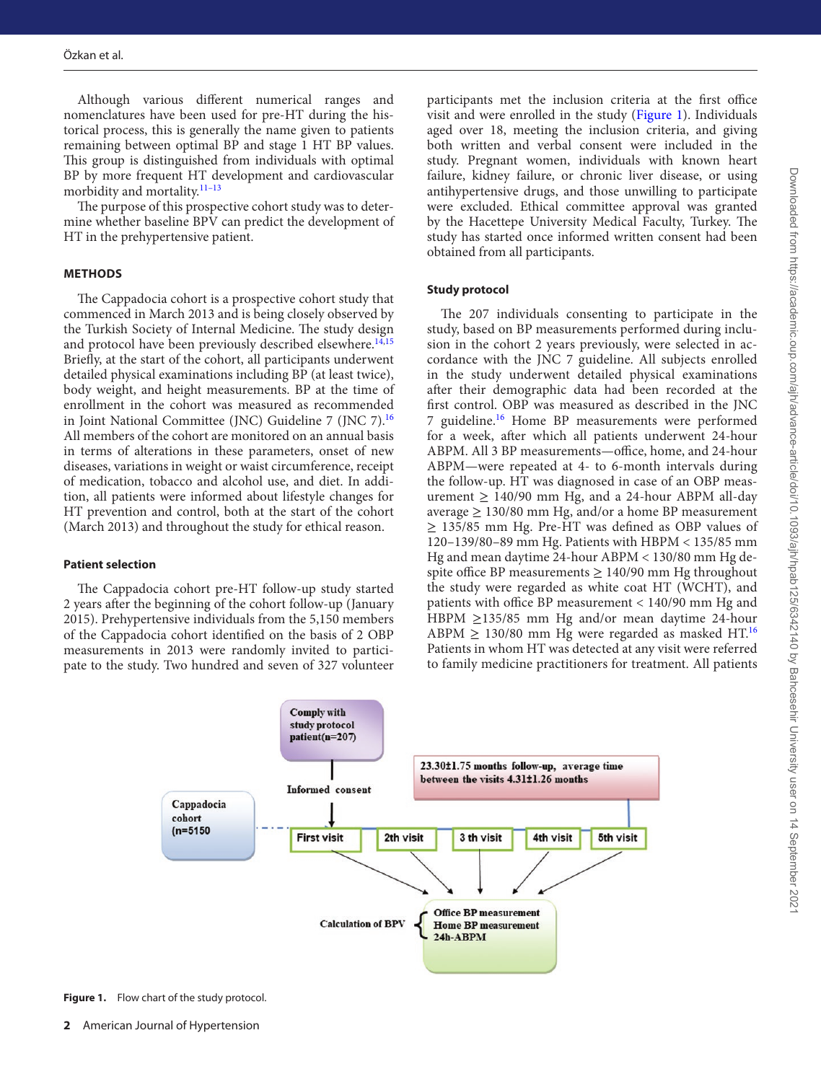Although various different numerical ranges and nomenclatures have been used for pre-HT during the historical process, this is generally the name given to patients remaining between optimal BP and stage 1 HT BP values. This group is distinguished from individuals with optimal BP by more frequent HT development and cardiovascular morbidity and mortality.<sup>11-[13](#page-5-0)</sup>

The purpose of this prospective cohort study was to determine whether baseline BPV can predict the development of HT in the prehypertensive patient.

### **METHODS**

The Cappadocia cohort is a prospective cohort study that commenced in March 2013 and is being closely observed by the Turkish Society of Internal Medicine. The study design and protocol have been previously described elsewhere.<sup>[14](#page-5-1),[15](#page-5-2)</sup> Briefly, at the start of the cohort, all participants underwent detailed physical examinations including BP (at least twice), body weight, and height measurements. BP at the time of enrollment in the cohort was measured as recommended in Joint National Committee (JNC) Guideline 7 (JNC 7).[16](#page-5-3) All members of the cohort are monitored on an annual basis in terms of alterations in these parameters, onset of new diseases, variations in weight or waist circumference, receipt of medication, tobacco and alcohol use, and diet. In addition, all patients were informed about lifestyle changes for HT prevention and control, both at the start of the cohort (March 2013) and throughout the study for ethical reason.

#### **Patient selection**

The Cappadocia cohort pre-HT follow-up study started 2 years after the beginning of the cohort follow-up (January 2015). Prehypertensive individuals from the 5,150 members of the Cappadocia cohort identified on the basis of 2 OBP measurements in 2013 were randomly invited to participate to the study. Two hundred and seven of 327 volunteer

participants met the inclusion criteria at the first office visit and were enrolled in the study [\(Figure 1\)](#page-1-0). Individuals aged over 18, meeting the inclusion criteria, and giving both written and verbal consent were included in the study. Pregnant women, individuals with known heart failure, kidney failure, or chronic liver disease, or using antihypertensive drugs, and those unwilling to participate were excluded. Ethical committee approval was granted by the Hacettepe University Medical Faculty, Turkey. The study has started once informed written consent had been obtained from all participants.

### **Study protocol**

The 207 individuals consenting to participate in the study, based on BP measurements performed during inclusion in the cohort 2 years previously, were selected in accordance with the JNC 7 guideline. All subjects enrolled in the study underwent detailed physical examinations after their demographic data had been recorded at the first control. OBP was measured as described in the JNC 7 guideline.<sup>16</sup> Home BP measurements were performed for a week, after which all patients underwent 24-hour ABPM. All 3 BP measurements—office, home, and 24-hour ABPM—were repeated at 4- to 6-month intervals during the follow-up. HT was diagnosed in case of an OBP measurement  $\geq$  140/90 mm Hg, and a 24-hour ABPM all-day average  $\geq 130/80$  mm Hg, and/or a home BP measurement ≥ 135/85 mm Hg. Pre-HT was defined as OBP values of 120–139/80–89 mm Hg. Patients with HBPM < 135/85 mm Hg and mean daytime 24-hour ABPM < 130/80 mm Hg despite office BP measurements  $\geq 140/90$  mm Hg throughout the study were regarded as white coat HT (WCHT), and patients with office BP measurement < 140/90 mm Hg and HBPM  $\geq$ 135/85 mm Hg and/or mean daytime 24-hour ABPM  $\geq$  130/80 mm Hg were regarded as masked HT.<sup>[16](#page-5-3)</sup> Patients in whom HT was detected at any visit were referred to family medicine practitioners for treatment. All patients



<span id="page-1-0"></span>**Figure 1.** Flow chart of the study protocol.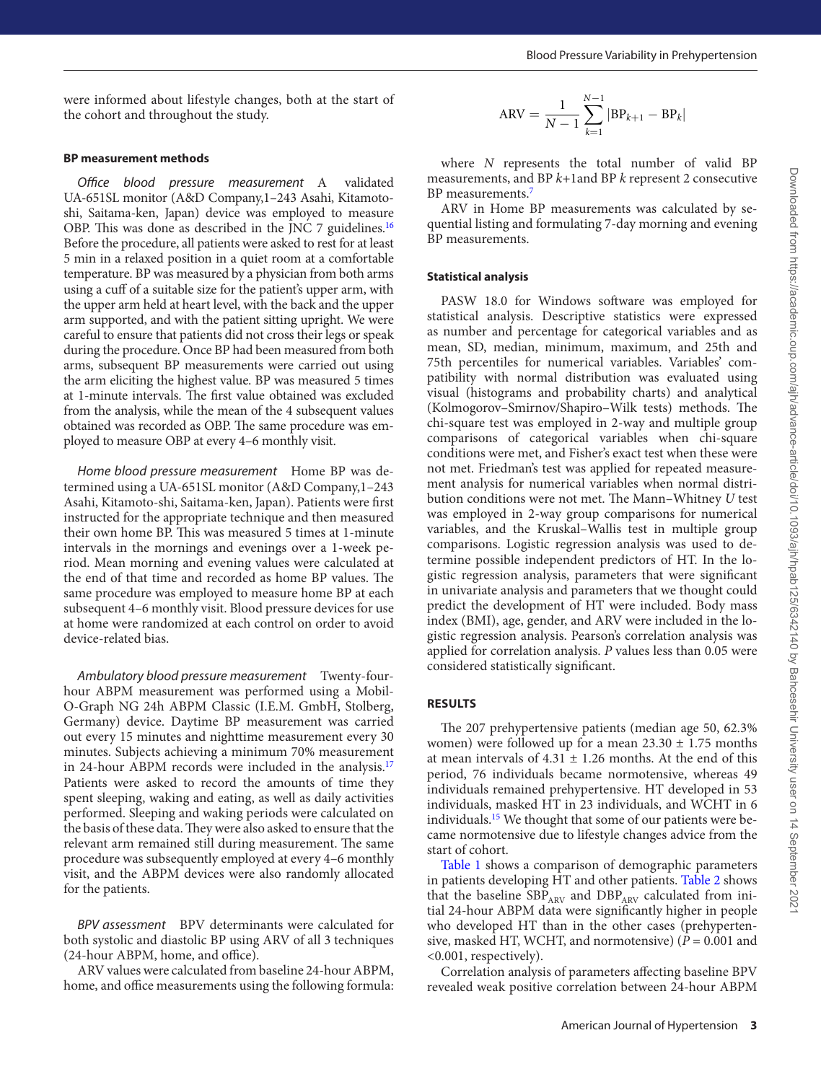were informed about lifestyle changes, both at the start of the cohort and throughout the study.

### **BP measurement methods**

*Office blood pressure measurement* A validated UA-651SL monitor (A&D Company,1–243 Asahi, Kitamotoshi, Saitama-ken, Japan) device was employed to measure OBP. This was done as described in the JNC 7 guidelines.[16](#page-5-3) Before the procedure, all patients were asked to rest for at least 5 min in a relaxed position in a quiet room at a comfortable temperature. BP was measured by a physician from both arms using a cuff of a suitable size for the patient's upper arm, with the upper arm held at heart level, with the back and the upper arm supported, and with the patient sitting upright. We were careful to ensure that patients did not cross their legs or speak during the procedure. Once BP had been measured from both arms, subsequent BP measurements were carried out using the arm eliciting the highest value. BP was measured 5 times at 1-minute intervals. The first value obtained was excluded from the analysis, while the mean of the 4 subsequent values obtained was recorded as OBP. The same procedure was employed to measure OBP at every 4–6 monthly visit.

*Home blood pressure measurement* Home BP was determined using a UA-651SL monitor (A&D Company,1–243 Asahi, Kitamoto-shi, Saitama-ken, Japan). Patients were first instructed for the appropriate technique and then measured their own home BP. This was measured 5 times at 1-minute intervals in the mornings and evenings over a 1-week period. Mean morning and evening values were calculated at the end of that time and recorded as home BP values. The same procedure was employed to measure home BP at each subsequent 4–6 monthly visit. Blood pressure devices for use at home were randomized at each control on order to avoid device-related bias.

*Ambulatory blood pressure measurement* Twenty-fourhour ABPM measurement was performed using a Mobil-O-Graph NG 24h ABPM Classic (I.E.M. GmbH, Stolberg, Germany) device. Daytime BP measurement was carried out every 15 minutes and nighttime measurement every 30 minutes. Subjects achieving a minimum 70% measurement in 24-hour ABPM records were included in the analysis.[17](#page-5-4) Patients were asked to record the amounts of time they spent sleeping, waking and eating, as well as daily activities performed. Sleeping and waking periods were calculated on the basis of these data. They were also asked to ensure that the relevant arm remained still during measurement. The same procedure was subsequently employed at every 4–6 monthly visit, and the ABPM devices were also randomly allocated for the patients.

*BPV assessment* BPV determinants were calculated for both systolic and diastolic BP using ARV of all 3 techniques (24-hour ABPM, home, and office).

ARV values were calculated from baseline 24-hour ABPM, home, and office measurements using the following formula:

$$
ARV = \frac{1}{N-1} \sum_{k=1}^{N-1} |BP_{k+1} - BP_k|
$$

where *N* represents the total number of valid BP measurements, and BP *k*+1and BP *k* represent 2 consecutive BP measurements.<sup>[7](#page-4-5)</sup>

ARV in Home BP measurements was calculated by sequential listing and formulating 7-day morning and evening BP measurements.

### **Statistical analysis**

PASW 18.0 for Windows software was employed for statistical analysis. Descriptive statistics were expressed as number and percentage for categorical variables and as mean, SD, median, minimum, maximum, and 25th and 75th percentiles for numerical variables. Variables' compatibility with normal distribution was evaluated using visual (histograms and probability charts) and analytical (Kolmogorov–Smirnov/Shapiro–Wilk tests) methods. The chi-square test was employed in 2-way and multiple group comparisons of categorical variables when chi-square conditions were met, and Fisher's exact test when these were not met. Friedman's test was applied for repeated measurement analysis for numerical variables when normal distribution conditions were not met. The Mann–Whitney *U* test was employed in 2-way group comparisons for numerical variables, and the Kruskal–Wallis test in multiple group comparisons. Logistic regression analysis was used to determine possible independent predictors of HT. In the logistic regression analysis, parameters that were significant in univariate analysis and parameters that we thought could predict the development of HT were included. Body mass index (BMI), age, gender, and ARV were included in the logistic regression analysis. Pearson's correlation analysis was applied for correlation analysis. *P* values less than 0.05 were considered statistically significant.

## **RESULTS**

The 207 prehypertensive patients (median age 50, 62.3% women) were followed up for a mean  $23.30 \pm 1.75$  months at mean intervals of  $4.31 \pm 1.26$  months. At the end of this period, 76 individuals became normotensive, whereas 49 individuals remained prehypertensive. HT developed in 53 individuals, masked HT in 23 individuals, and WCHT in 6 individuals.<sup>15</sup> We thought that some of our patients were became normotensive due to lifestyle changes advice from the start of cohort.

[Table 1](#page-3-0) shows a comparison of demographic parameters in patients developing HT and other patients. [Table 2](#page-4-9) shows that the baseline  $SBP_{ARY}$  and  $DBP_{ARY}$  calculated from initial 24-hour ABPM data were significantly higher in people who developed HT than in the other cases (prehypertensive, masked HT, WCHT, and normotensive) (*P* = 0.001 and <0.001, respectively).

Correlation analysis of parameters affecting baseline BPV revealed weak positive correlation between 24-hour ABPM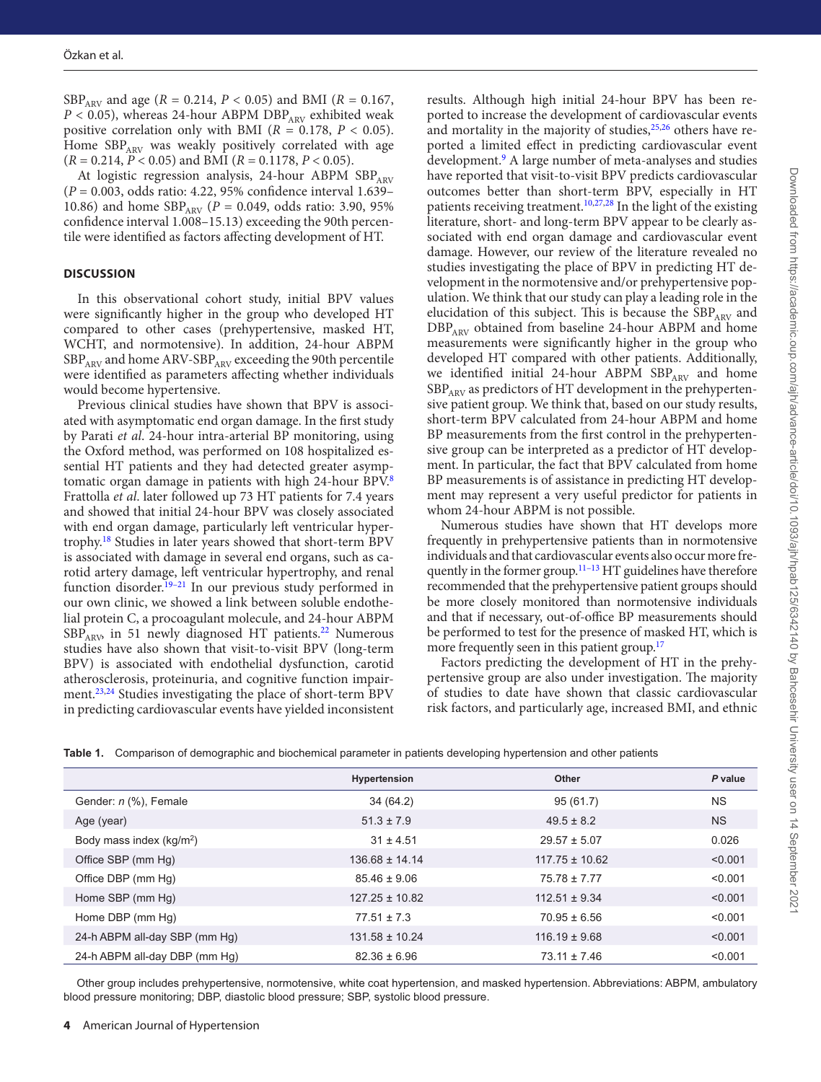SBP<sub>ARV</sub> and age ( $R = 0.214$ ,  $P < 0.05$ ) and BMI ( $R = 0.167$ ,  $P$  < 0.05), whereas 24-hour ABPM DBP<sub>ARV</sub> exhibited weak positive correlation only with BMI ( $R = 0.178$ ,  $P < 0.05$ ). Home  $SBP_{ARY}$  was weakly positively correlated with age (*R* = 0.214, *P* < 0.05) and BMI (*R* = 0.1178, *P* < 0.05).

At logistic regression analysis, 24-hour ABPM  $SBP_{APV}$ (*P* = 0.003, odds ratio: 4.22, 95% confidence interval 1.639– 10.86) and home  $SBP_{ARY}$  ( $P = 0.049$ , odds ratio: 3.90, 95% confidence interval 1.008–15.13) exceeding the 90th percentile were identified as factors affecting development of HT.

### **DISCUSSION**

In this observational cohort study, initial BPV values were significantly higher in the group who developed HT compared to other cases (prehypertensive, masked HT, WCHT, and normotensive). In addition, 24-hour ABPM  $SBP<sub>ARY</sub>$  and home ARV-SBP<sub>ARV</sub> exceeding the 90th percentile were identified as parameters affecting whether individuals would become hypertensive.

Previous clinical studies have shown that BPV is associated with asymptomatic end organ damage. In the first study by Parati *et al*. 24-hour intra-arterial BP monitoring, using the Oxford method, was performed on 108 hospitalized essential HT patients and they had detected greater asymptomatic organ damage in patients with high 24-hour BPV.[8](#page-4-6) Frattolla *et al*. later followed up 73 HT patients for 7.4 years and showed that initial 24-hour BPV was closely associated with end organ damage, particularly left ventricular hypertrophy[.18](#page-5-5) Studies in later years showed that short-term BPV is associated with damage in several end organs, such as carotid artery damage, left ventricular hypertrophy, and renal function disorder.<sup>[19](#page-5-6)-21</sup> In our previous study performed in our own clinic, we showed a link between soluble endothelial protein C, a procoagulant molecule, and 24-hour ABPM  $SBP_{ARV}$  in 51 newly diagnosed HT patients.<sup>[22](#page-5-8)</sup> Numerous studies have also shown that visit-to-visit BPV (long-term BPV) is associated with endothelial dysfunction, carotid atherosclerosis, proteinuria, and cognitive function impairment.<sup>23,24</sup> Studies investigating the place of short-term BPV in predicting cardiovascular events have yielded inconsistent

results. Although high initial 24-hour BPV has been reported to increase the development of cardiovascular events and mortality in the majority of studies, $25,26$  $25,26$  others have reported a limited effect in predicting cardiovascular event development.<sup>[9](#page-4-10)</sup> A large number of meta-analyses and studies have reported that visit-to-visit BPV predicts cardiovascular outcomes better than short-term BPV, especially in HT patients receiving treatment.<sup>10,[27](#page-5-13),[28](#page-5-14)</sup> In the light of the existing literature, short- and long-term BPV appear to be clearly associated with end organ damage and cardiovascular event damage. However, our review of the literature revealed no studies investigating the place of BPV in predicting HT development in the normotensive and/or prehypertensive population. We think that our study can play a leading role in the elucidation of this subject. This is because the  $SBP<sub>ARY</sub>$  and DBP<sub>ARV</sub> obtained from baseline 24-hour ABPM and home measurements were significantly higher in the group who developed HT compared with other patients. Additionally, we identified initial 24-hour ABPM SBPARV and home  $SBP<sub>ARY</sub>$  as predictors of HT development in the prehypertensive patient group. We think that, based on our study results, short-term BPV calculated from 24-hour ABPM and home BP measurements from the first control in the prehypertensive group can be interpreted as a predictor of HT development. In particular, the fact that BPV calculated from home BP measurements is of assistance in predicting HT development may represent a very useful predictor for patients in whom 24-hour ABPM is not possible.

Numerous studies have shown that HT develops more frequently in prehypertensive patients than in normotensive individuals and that cardiovascular events also occur more frequently in the former group.<sup>11-13</sup> HT guidelines have therefore recommended that the prehypertensive patient groups should be more closely monitored than normotensive individuals and that if necessary, out-of-office BP measurements should be performed to test for the presence of masked HT, which is more frequently seen in this patient group.<sup>17</sup>

Factors predicting the development of HT in the prehypertensive group are also under investigation. The majority of studies to date have shown that classic cardiovascular risk factors, and particularly age, increased BMI, and ethnic

<span id="page-3-0"></span>

| Table 1. Comparison of demographic and biochemical parameter in patients developing hypertension and other patients |  |  |
|---------------------------------------------------------------------------------------------------------------------|--|--|
|                                                                                                                     |  |  |

|                               | <b>Hypertension</b> | Other              | P value   |
|-------------------------------|---------------------|--------------------|-----------|
| Gender: n (%), Female         | 34 (64.2)           | 95(61.7)           | <b>NS</b> |
| Age (year)                    | $51.3 \pm 7.9$      | $49.5 \pm 8.2$     | <b>NS</b> |
| Body mass index $(kg/m2)$     | $31 \pm 4.51$       | $29.57 \pm 5.07$   | 0.026     |
| Office SBP (mm Hg)            | $136.68 \pm 14.14$  | $117.75 \pm 10.62$ | < 0.001   |
| Office DBP (mm Hg)            | $85.46 \pm 9.06$    | $75.78 \pm 7.77$   | < 0.001   |
| Home SBP (mm Hg)              | $127.25 \pm 10.82$  | $112.51 \pm 9.34$  | < 0.001   |
| Home DBP (mm Hg)              | $77.51 \pm 7.3$     | $70.95 \pm 6.56$   | < 0.001   |
| 24-h ABPM all-day SBP (mm Hg) | $131.58 \pm 10.24$  | $116.19 \pm 9.68$  | < 0.001   |
| 24-h ABPM all-day DBP (mm Hq) | $82.36 \pm 6.96$    | $73.11 \pm 7.46$   | < 0.001   |

Other group includes prehypertensive, normotensive, white coat hypertension, and masked hypertension. Abbreviations: ABPM, ambulatory blood pressure monitoring; DBP, diastolic blood pressure; SBP, systolic blood pressure.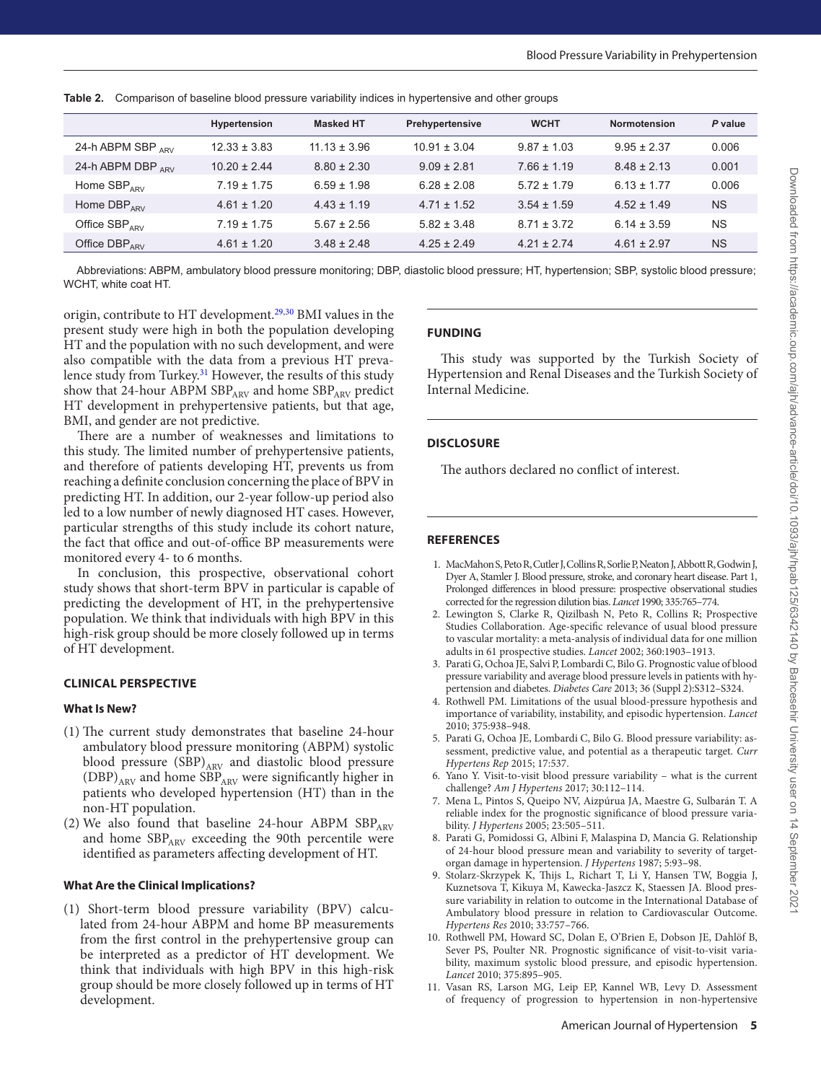|                        | Hypertension     | <b>Masked HT</b> | Prehypertensive  | <b>WCHT</b>     | <b>Normotension</b> | P value   |
|------------------------|------------------|------------------|------------------|-----------------|---------------------|-----------|
| 24-h ABPM SBP $_{APV}$ | $12.33 \pm 3.83$ | $11.13 \pm 3.96$ | $10.91 \pm 3.04$ | $9.87 \pm 1.03$ | $9.95 \pm 2.37$     | 0.006     |
| 24-h ABPM DBP $_{APV}$ | $10.20 \pm 2.44$ | $8.80 \pm 2.30$  | $9.09 \pm 2.81$  | $7.66 \pm 1.19$ | $8.48 \pm 2.13$     | 0.001     |
| Home $SBP_{APV}$       | $7.19 \pm 1.75$  | $6.59 \pm 1.98$  | $6.28 \pm 2.08$  | $5.72 \pm 1.79$ | $6.13 \pm 1.77$     | 0.006     |
| Home $DBP_{APV}$       | $4.61 \pm 1.20$  | $4.43 \pm 1.19$  | $4.71 \pm 1.52$  | $3.54 \pm 1.59$ | $4.52 \pm 1.49$     | <b>NS</b> |
| Office $SBP_{APV}$     | $7.19 \pm 1.75$  | $5.67 \pm 2.56$  | $5.82 \pm 3.48$  | $8.71 \pm 3.72$ | $6.14 \pm 3.59$     | <b>NS</b> |
| Office $DBP_{APV}$     | $4.61 \pm 1.20$  | $3.48 \pm 2.48$  | $4.25 \pm 2.49$  | $4.21 \pm 2.74$ | $4.61 \pm 2.97$     | <b>NS</b> |

<span id="page-4-9"></span>**Table 2.** Comparison of baseline blood pressure variability indices in hypertensive and other groups

Abbreviations: ABPM, ambulatory blood pressure monitoring; DBP, diastolic blood pressure; HT, hypertension; SBP, systolic blood pressure; WCHT, white coat HT.

origin, contribute to HT development.[29](#page-5-15)[,30](#page-5-16) BMI values in the present study were high in both the population developing HT and the population with no such development, and were also compatible with the data from a previous HT prevalence study from Turkey.<sup>31</sup> However, the results of this study show that 24-hour ABPM  $SBP_{ARY}$  and home  $SBP_{ARY}$  predict HT development in prehypertensive patients, but that age, BMI, and gender are not predictive.

There are a number of weaknesses and limitations to this study. The limited number of prehypertensive patients, and therefore of patients developing HT, prevents us from reaching a definite conclusion concerning the place of BPV in predicting HT. In addition, our 2-year follow-up period also led to a low number of newly diagnosed HT cases. However, particular strengths of this study include its cohort nature, the fact that office and out-of-office BP measurements were monitored every 4- to 6 months.

In conclusion, this prospective, observational cohort study shows that short-term BPV in particular is capable of predicting the development of HT, in the prehypertensive population. We think that individuals with high BPV in this high-risk group should be more closely followed up in terms of HT development.

### **CLINICAL PERSPECTIVE**

### **What Is New?**

- (1) The current study demonstrates that baseline 24-hour ambulatory blood pressure monitoring (ABPM) systolic blood pressure  $(SBP)_{ARY}$  and diastolic blood pressure (DBP)<sub>ARV</sub> and home SBP<sub>ARV</sub> were significantly higher in patients who developed hypertension (HT) than in the non-HT population.
- (2) We also found that baseline 24-hour ABPM  $SBP_{ARY}$ and home SBP<sub>ARV</sub> exceeding the 90th percentile were identified as parameters affecting development of HT.

### **What Are the Clinical Implications?**

(1) Short-term blood pressure variability (BPV) calculated from 24-hour ABPM and home BP measurements from the first control in the prehypertensive group can be interpreted as a predictor of HT development. We think that individuals with high BPV in this high-risk group should be more closely followed up in terms of HT development.

### **FUNDING**

This study was supported by the Turkish Society of Hypertension and Renal Diseases and the Turkish Society of Internal Medicine.

### **DISCLOSURE**

The authors declared no conflict of interest.

### **REFERENCES**

- <span id="page-4-0"></span>1. MacMahon S, Peto R, Cutler J, Collins R, Sorlie P, Neaton J, Abbott R, Godwin J, Dyer A, Stamler J. Blood pressure, stroke, and coronary heart disease. Part 1, Prolonged differences in blood pressure: prospective observational studies corrected for the regression dilution bias. *Lancet* 1990; 335:765–774.
- <span id="page-4-1"></span>2. Lewington S, Clarke R, Qizilbash N, Peto R, Collins R; Prospective Studies Collaboration. Age-specific relevance of usual blood pressure to vascular mortality: a meta-analysis of individual data for one million adults in 61 prospective studies. *Lancet* 2002; 360:1903–1913.
- <span id="page-4-2"></span>3. Parati G, Ochoa JE, Salvi P, Lombardi C, Bilo G. Prognostic value of blood pressure variability and average blood pressure levels in patients with hypertension and diabetes. *Diabetes Care* 2013; 36 (Suppl 2):S312–S324.
- <span id="page-4-3"></span>4. Rothwell PM. Limitations of the usual blood-pressure hypothesis and importance of variability, instability, and episodic hypertension. *Lancet* 2010; 375:938–948.
- <span id="page-4-4"></span>5. Parati G, Ochoa JE, Lombardi C, Bilo G. Blood pressure variability: assessment, predictive value, and potential as a therapeutic target. *Curr Hypertens Rep* 2015; 17:537.
- 6. Yano Y. Visit-to-visit blood pressure variability what is the current challenge? *Am J Hypertens* 2017; 30:112–114.
- <span id="page-4-5"></span>7. Mena L, Pintos S, Queipo NV, Aizpúrua JA, Maestre G, Sulbarán T. A reliable index for the prognostic significance of blood pressure variability. *J Hypertens* 2005; 23:505–511.
- <span id="page-4-6"></span>8. Parati G, Pomidossi G, Albini F, Malaspina D, Mancia G. Relationship of 24-hour blood pressure mean and variability to severity of targetorgan damage in hypertension. *J Hypertens* 1987; 5:93–98.
- <span id="page-4-10"></span>9. Stolarz-Skrzypek K, Thijs L, Richart T, Li Y, Hansen TW, Boggia J, Kuznetsova T, Kikuya M, Kawecka-Jaszcz K, Staessen JA. Blood pressure variability in relation to outcome in the International Database of Ambulatory blood pressure in relation to Cardiovascular Outcome. *Hypertens Res* 2010; 33:757–766.
- <span id="page-4-7"></span>10. Rothwell PM, Howard SC, Dolan E, O'Brien E, Dobson JE, Dahlöf B, Sever PS, Poulter NR. Prognostic significance of visit-to-visit variability, maximum systolic blood pressure, and episodic hypertension. *Lancet* 2010; 375:895–905.
- <span id="page-4-8"></span>11. Vasan RS, Larson MG, Leip EP, Kannel WB, Levy D. Assessment of frequency of progression to hypertension in non-hypertensive